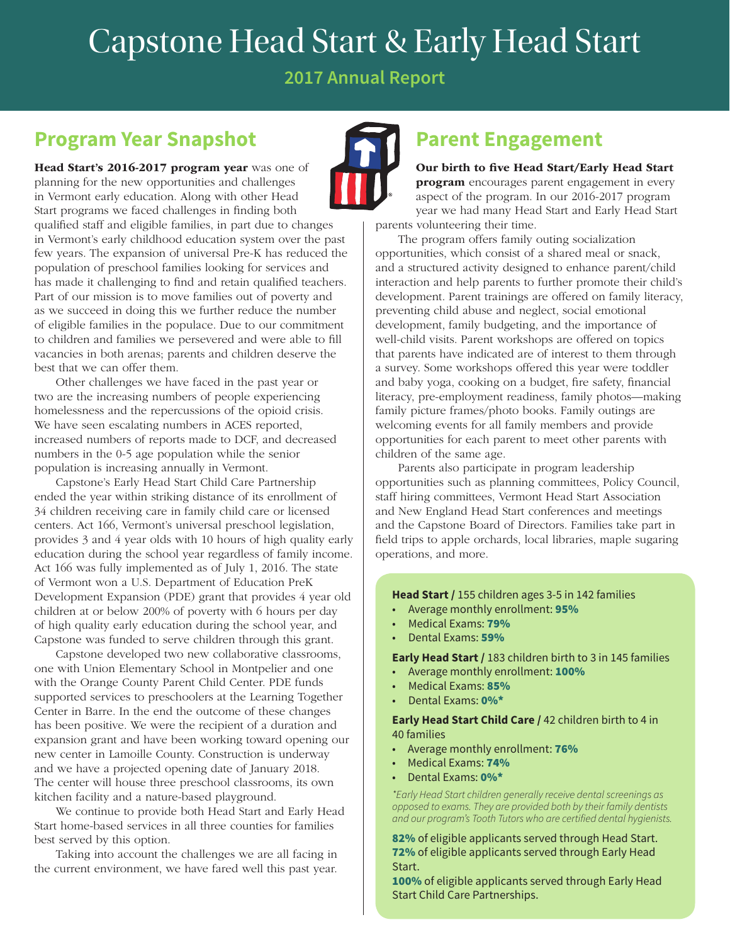# Capstone Head Start & Early Head Start

**2017 Annual Report**

### **Program Year Snapshot**

Head Start's 2016-2017 program year was one of planning for the new opportunities and challenges in Vermont early education. Along with other Head Start programs we faced challenges in finding both qualified staff and eligible families, in part due to changes in Vermont's early childhood education system over the past few years. The expansion of universal Pre-K has reduced the population of preschool families looking for services and has made it challenging to find and retain qualified teachers. Part of our mission is to move families out of poverty and as we succeed in doing this we further reduce the number of eligible families in the populace. Due to our commitment to children and families we persevered and were able to fill vacancies in both arenas; parents and children deserve the best that we can offer them.

Other challenges we have faced in the past year or two are the increasing numbers of people experiencing homelessness and the repercussions of the opioid crisis. We have seen escalating numbers in ACES reported, increased numbers of reports made to DCF, and decreased numbers in the 0-5 age population while the senior population is increasing annually in Vermont.

Capstone's Early Head Start Child Care Partnership ended the year within striking distance of its enrollment of 34 children receiving care in family child care or licensed centers. Act 166, Vermont's universal preschool legislation, provides 3 and 4 year olds with 10 hours of high quality early education during the school year regardless of family income. Act 166 was fully implemented as of July 1, 2016. The state of Vermont won a U.S. Department of Education PreK Development Expansion (PDE) grant that provides 4 year old children at or below 200% of poverty with 6 hours per day of high quality early education during the school year, and Capstone was funded to serve children through this grant.

Capstone developed two new collaborative classrooms, one with Union Elementary School in Montpelier and one with the Orange County Parent Child Center. PDE funds supported services to preschoolers at the Learning Together Center in Barre. In the end the outcome of these changes has been positive. We were the recipient of a duration and expansion grant and have been working toward opening our new center in Lamoille County. Construction is underway and we have a projected opening date of January 2018. The center will house three preschool classrooms, its own kitchen facility and a nature-based playground.

We continue to provide both Head Start and Early Head Start home-based services in all three counties for families best served by this option.

Taking into account the challenges we are all facing in the current environment, we have fared well this past year.

#### **Parent Engagement**

#### Our birth to five Head Start/Early Head Start

**program** encourages parent engagement in every aspect of the program. In our 2016-2017 program year we had many Head Start and Early Head Start parents volunteering their time.

The program offers family outing socialization opportunities, which consist of a shared meal or snack, and a structured activity designed to enhance parent/child interaction and help parents to further promote their child's development. Parent trainings are offered on family literacy, preventing child abuse and neglect, social emotional development, family budgeting, and the importance of well-child visits. Parent workshops are offered on topics that parents have indicated are of interest to them through a survey. Some workshops offered this year were toddler and baby yoga, cooking on a budget, fire safety, financial literacy, pre-employment readiness, family photos—making family picture frames/photo books. Family outings are welcoming events for all family members and provide opportunities for each parent to meet other parents with children of the same age.

Parents also participate in program leadership opportunities such as planning committees, Policy Council, staff hiring committees, Vermont Head Start Association and New England Head Start conferences and meetings and the Capstone Board of Directors. Families take part in field trips to apple orchards, local libraries, maple sugaring operations, and more.

**Head Start /** 155 children ages 3-5 in 142 families

- Average monthly enrollment: 95%
- Medical Exams: 79%
- Dental Exams: 59%

**Early Head Start /** 183 children birth to 3 in 145 families

- Average monthly enrollment: 100%
- Medical Exams: 85%
- Dental Exams: 0%\*

**Early Head Start Child Care /** 42 children birth to 4 in 40 families

- Average monthly enrollment: 76%
- Medical Exams: 74%
- Dental Exams: 0%\*

*\*Early Head Start children generally receive dental screenings as opposed to exams. They are provided both by their family dentists and our program's Tooth Tutors who are certified dental hygienists.*

82% of eligible applicants served through Head Start. 72% of eligible applicants served through Early Head Start.

100% of eligible applicants served through Early Head Start Child Care Partnerships.